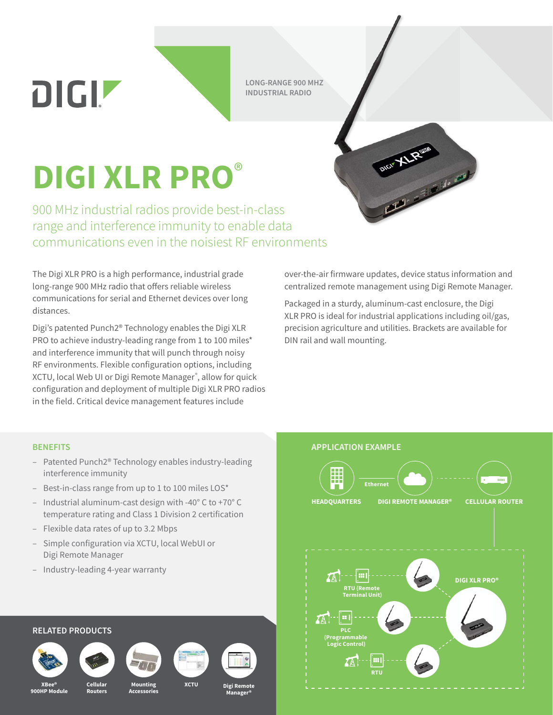DIGIZ

**LONG-RANGE 900 MHZ INDUSTRIAL RADIO**

## **DIGI XLR PRO**®

900 MHz industrial radios provide best-in-class range and interference immunity to enable data communications even in the noisiest RF environments

The Digi XLR PRO is a high performance, industrial grade long-range 900 MHz radio that offers reliable wireless communications for serial and Ethernet devices over long distances.

Digi's patented Punch2® Technology enables the Digi XLR PRO to achieve industry-leading range from 1 to 100 miles\* and interference immunity that will punch through noisy RF environments. Flexible configuration options, including XCTU, local Web UI or Digi Remote Manager ® , allow for quick configuration and deployment of multiple Digi XLR PRO radios in the field. Critical device management features include



over-the-air firmware updates, device status information and centralized remote management using Digi Remote Manager.

Packaged in a sturdy, aluminum-cast enclosure, the Digi XLR PRO is ideal for industrial applications including oil/gas, precision agriculture and utilities. Brackets are available for DIN rail and wall mounting.

- Patented Punch2® Technology enables industry-leading interference immunity
- Best-in-class range from up to 1 to 100 miles LOS\*
- Industrial aluminum-cast design with -40° C to +70° C temperature rating and Class 1 Division 2 certification
- Flexible data rates of up to 3.2 Mbps
- Simple configuration via XCTU, local WebUI or Digi Remote Manager
- Industry-leading 4-year warranty

## **RELATED PRODUCTS**















**XBee® 900HP Module**

**Cellular Routers**

**Mounting Accessories** **XCTU Digi Remote Manager®**